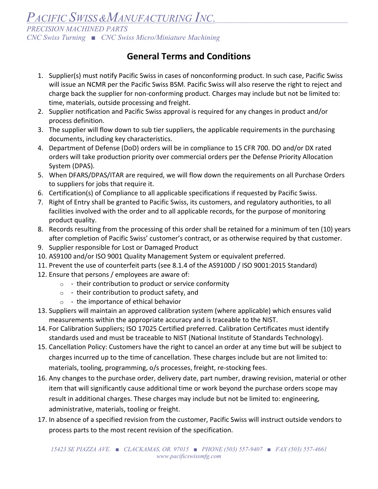PACIFIC SWISS & MANUFACTURING INC. *PRECISION MACHINED PARTS CNC Swiss Turning ■ CNC Swiss Micro/Miniature Machining* 

## **General Terms and Conditions**

- 1. Supplier(s) must notify Pacific Swiss in cases of nonconforming product. In such case, Pacific Swiss will issue an NCMR per the Pacific Swiss BSM. Pacific Swiss will also reserve the right to reject and charge back the supplier for non‐conforming product. Charges may include but not be limited to: time, materials, outside processing and freight.
- 2. Supplier notification and Pacific Swiss approval is required for any changes in product and/or process definition.
- 3. The supplier will flow down to sub tier suppliers, the applicable requirements in the purchasing documents, including key characteristics.
- 4. Department of Defense (DoD) orders will be in compliance to 15 CFR 700. DO and/or DX rated orders will take production priority over commercial orders per the Defense Priority Allocation System (DPAS).
- 5. When DFARS/DPAS/ITAR are required, we will flow down the requirements on all Purchase Orders to suppliers for jobs that require it.
- 6. Certification(s) of Compliance to all applicable specifications if requested by Pacific Swiss.
- 7. Right of Entry shall be granted to Pacific Swiss, its customers, and regulatory authorities, to all facilities involved with the order and to all applicable records, for the purpose of monitoring product quality.
- 8. Records resulting from the processing of this order shall be retained for a minimum of ten (10) years after completion of Pacific Swiss' customer's contract, or as otherwise required by that customer.
- 9. Supplier responsible for Lost or Damaged Product
- 10. AS9100 and/or ISO 9001 Quality Management System or equivalent preferred.
- 11. Prevent the use of counterfeit parts (see 8.1.4 of the AS9100D / ISO 9001:2015 Standard)
- 12. Ensure that persons / employees are aware of:
	- $\circ$  their contribution to product or service conformity
	- $\circ$  their contribution to product safety, and
	- $\circ$  the importance of ethical behavior
- 13. Suppliers will maintain an approved calibration system (where applicable) which ensures valid measurements within the appropriate accuracy and is traceable to the NIST.
- 14. For Calibration Suppliers; ISO 17025 Certified preferred. Calibration Certificates must identify standards used and must be traceable to NIST (National Institute of Standards Technology).
- 15. Cancellation Policy: Customers have the right to cancel an order at any time but will be subject to charges incurred up to the time of cancellation. These charges include but are not limited to: materials, tooling, programming, o/s processes, freight, re‐stocking fees.
- 16. Any changes to the purchase order, delivery date, part number, drawing revision, material or other item that will significantly cause additional time or work beyond the purchase orders scope may result in additional charges. These charges may include but not be limited to: engineering, administrative, materials, tooling or freight.
- 17. In absence of a specified revision from the customer, Pacific Swiss will instruct outside vendors to process parts to the most recent revision of the specification.